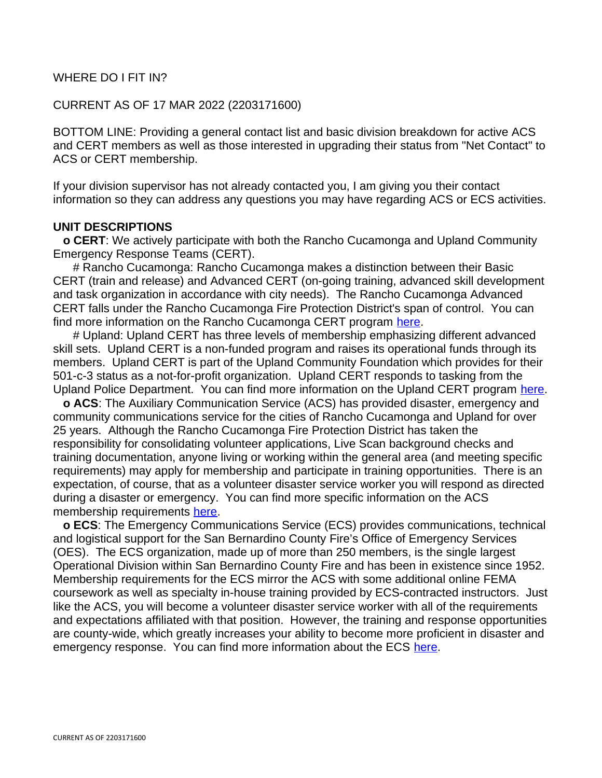### WHERE DO I FIT IN?

## CURRENT AS OF 17 MAR 2022 (2203171600)

BOTTOM LINE: Providing a general contact list and basic division breakdown for active ACS and CERT members as well as those interested in upgrading their status from "Net Contact" to ACS or CERT membership.

If your division supervisor has not already contacted you, I am giving you their contact information so they can address any questions you may have regarding ACS or ECS activities.

#### **UNIT DESCRIPTIONS**

 **o CERT**: We actively participate with both the Rancho Cucamonga and Upland Community Emergency Response Teams (CERT).

 # Rancho Cucamonga: Rancho Cucamonga makes a distinction between their Basic CERT (train and release) and Advanced CERT (on-going training, advanced skill development and task organization in accordance with city needs). The Rancho Cucamonga Advanced CERT falls under the Rancho Cucamonga Fire Protection District's span of control. You can find more information on the Rancho Cucamonga CERT program [here.](https://www.cityofrc.us/readyrc)

 # Upland: Upland CERT has three levels of membership emphasizing different advanced skill sets. Upland CERT is a non-funded program and raises its operational funds through its members. Upland CERT is part of the Upland Community Foundation which provides for their 501-c-3 status as a not-for-profit organization. Upland CERT responds to tasking from the Upland Police Department. You can find more information on the Upland CERT program [here.](https://www.uplandcert.net/)

 **o ACS**: The Auxiliary Communication Service (ACS) has provided disaster, emergency and community communications service for the cities of Rancho Cucamonga and Upland for over 25 years. Although the Rancho Cucamonga Fire Protection District has taken the responsibility for consolidating volunteer applications, Live Scan background checks and training documentation, anyone living or working within the general area (and meeting specific requirements) may apply for membership and participate in training opportunities. There is an expectation, of course, that as a volunteer disaster service worker you will respond as directed during a disaster or emergency. You can find more specific information on the ACS membership requirements [here.](http://cityofrc.prod.acquia-sites.com/readyrc)

**o ECS**: The Emergency Communications Service (ECS) provides communications, technical and logistical support for the San Bernardino County Fire's Office of Emergency Services (OES). The ECS organization, made up of more than 250 members, is the single largest Operational Division within San Bernardino County Fire and has been in existence since 1952. Membership requirements for the ECS mirror the ACS with some additional online FEMA coursework as well as specialty in-house training provided by ECS-contracted instructors. Just like the ACS, you will become a volunteer disaster service worker with all of the requirements and expectations affiliated with that position. However, the training and response opportunities are county-wide, which greatly increases your ability to become more proficient in disaster and emergency response. You can find more information about the ECS [here.](https://www.bdcecs.org/)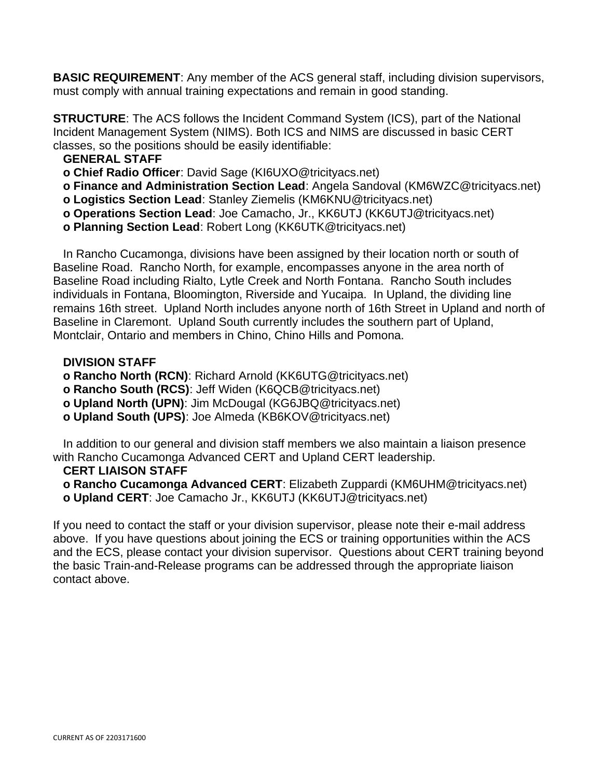**BASIC REQUIREMENT**: Any member of the ACS general staff, including division supervisors, must comply with annual training expectations and remain in good standing.

**STRUCTURE:** The ACS follows the Incident Command System (ICS), part of the National Incident Management System (NIMS). Both ICS and NIMS are discussed in basic CERT classes, so the positions should be easily identifiable:

- **GENERAL STAFF**
- **o Chief Radio Officer**: David Sage (KI6UXO@tricityacs.net)
- **o Finance and Administration Section Lead**: Angela Sandoval (KM6WZC@tricityacs.net)
- **o Logistics Section Lead**: Stanley Ziemelis (KM6KNU@tricityacs.net)
- **o Operations Section Lead**: Joe Camacho, Jr., KK6UTJ (KK6UTJ@tricityacs.net)
- **o Planning Section Lead**: Robert Long (KK6UTK@tricityacs.net)

 In Rancho Cucamonga, divisions have been assigned by their location north or south of Baseline Road. Rancho North, for example, encompasses anyone in the area north of Baseline Road including Rialto, Lytle Creek and North Fontana. Rancho South includes individuals in Fontana, Bloomington, Riverside and Yucaipa. In Upland, the dividing line remains 16th street. Upland North includes anyone north of 16th Street in Upland and north of Baseline in Claremont. Upland South currently includes the southern part of Upland, Montclair, Ontario and members in Chino, Chino Hills and Pomona.

### **DIVISION STAFF**

- **o Rancho North (RCN)**: Richard Arnold (KK6UTG@tricityacs.net)
- **o Rancho South (RCS)**: Jeff Widen (K6QCB@tricityacs.net)
- **o Upland North (UPN)**: Jim McDougal (KG6JBQ@tricityacs.net)
- **o Upland South (UPS)**: Joe Almeda (KB6KOV@tricityacs.net)

 In addition to our general and division staff members we also maintain a liaison presence with Rancho Cucamonga Advanced CERT and Upland CERT leadership.

### **CERT LIAISON STAFF**

**o Rancho Cucamonga Advanced CERT**: Elizabeth Zuppardi (KM6UHM@tricityacs.net) **o Upland CERT**: Joe Camacho Jr., KK6UTJ (KK6UTJ@tricityacs.net)

If you need to contact the staff or your division supervisor, please note their e-mail address above. If you have questions about joining the ECS or training opportunities within the ACS and the ECS, please contact your division supervisor. Questions about CERT training beyond the basic Train-and-Release programs can be addressed through the appropriate liaison contact above.